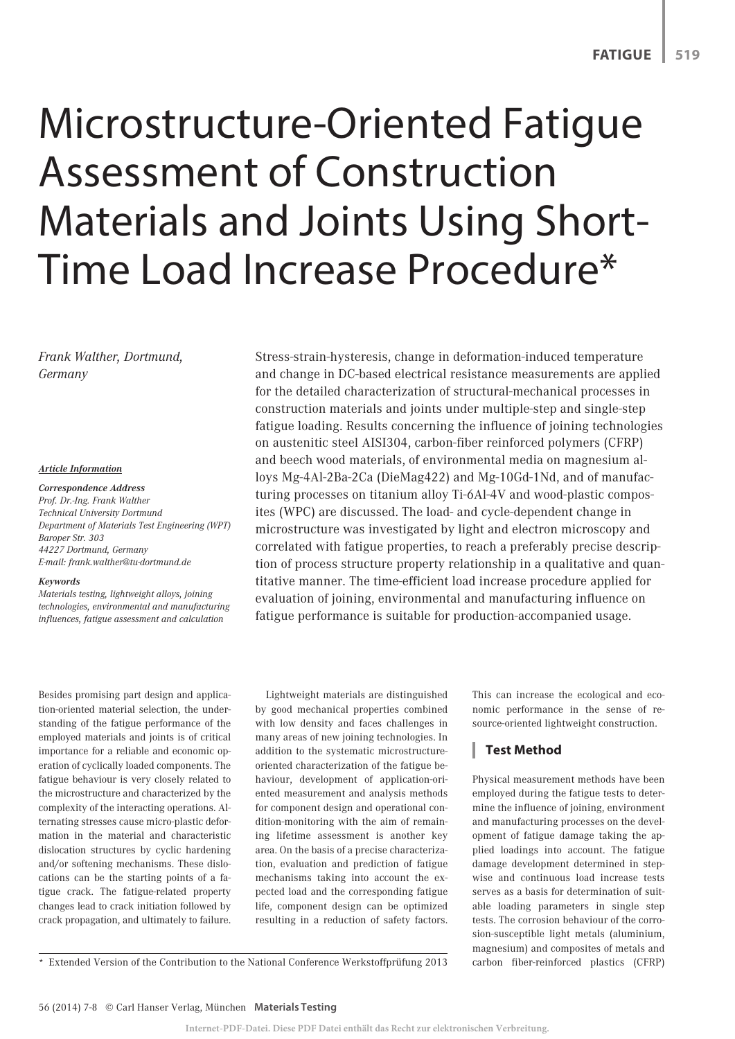# Microstructure-Oriented Fatigue Assessment of Construction Materials and Joints Using Short-Time Load Increase Procedure\*

*Frank Walther, Dortmund, Germany*

#### *Article Information*

#### *Correspondence Address*

*Prof. Dr.-Ing. Frank Walther Technical University Dortmund Department of Materials Test Engineering (WPT) Baroper Str. 303 44227 Dortmund, Germany E-mail: frank.walther@tu-dortmund.de*

#### *Keywords*

*Materials testing, lightweight alloys, joining technologies, environmental and manufacturing influences, fatigue assessment and calculation*

Besides promising part design and application-oriented material selection, the understanding of the fatigue performance of the employed materials and joints is of critical importance for a reliable and economic operation of cyclically loaded components. The fatigue behaviour is very closely related to the microstructure and characterized by the complexity of the interacting operations. Alternating stresses cause micro-plastic deformation in the material and characteristic dislocation structures by cyclic hardening and/or softening mechanisms. These dislocations can be the starting points of a fatigue crack. The fatigue-related property changes lead to crack initiation followed by crack propagation, and ultimately to failure. Stress-strain-hysteresis, change in deformation-induced temperature and change in DC-based electrical resistance measurements are applied for the detailed characterization of structural-mechanical processes in construction materials and joints under multiple-step and single-step fatigue loading. Results concerning the influence of joining technologies on austenitic steel AISI304, carbon-fiber reinforced polymers (CFRP) and beech wood materials, of environmental media on magnesium alloys Mg-4Al-2Ba-2Ca (DieMag422) and Mg-10Gd-1Nd, and of manufacturing processes on titanium alloy Ti-6Al-4V and wood-plastic composites (WPC) are discussed. The load- and cycle-dependent change in microstructure was investigated by light and electron microscopy and correlated with fatigue properties, to reach a preferably precise description of process structure property relationship in a qualitative and quantitative manner. The time-efficient load increase procedure applied for evaluation of joining, environmental and manufacturing influence on fatigue performance is suitable for production-accompanied usage.

Lightweight materials are distinguished by good mechanical properties combined with low density and faces challenges in many areas of new joining technologies. In addition to the systematic microstructureoriented characterization of the fatigue behaviour, development of application-oriented measurement and analysis methods for component design and operational condition-monitoring with the aim of remaining lifetime assessment is another key area. On the basis of a precise characterization, evaluation and prediction of fatigue mechanisms taking into account the expected load and the corresponding fatigue life, component design can be optimized resulting in a reduction of safety factors.

This can increase the ecological and economic performance in the sense of resource-oriented lightweight construction.

# **Test Method**

Physical measurement methods have been employed during the fatigue tests to determine the influence of joining, environment and manufacturing processes on the development of fatigue damage taking the applied loadings into account. The fatigue damage development determined in stepwise and continuous load increase tests serves as a basis for determination of suitable loading parameters in single step tests. The corrosion behaviour of the corrosion-susceptible light metals (aluminium, magnesium) and composites of metals and carbon fiber-reinforced plastics (CFRP)

\* Extended Version of the Contribution to the National Conference Werkstoffprüfung 2013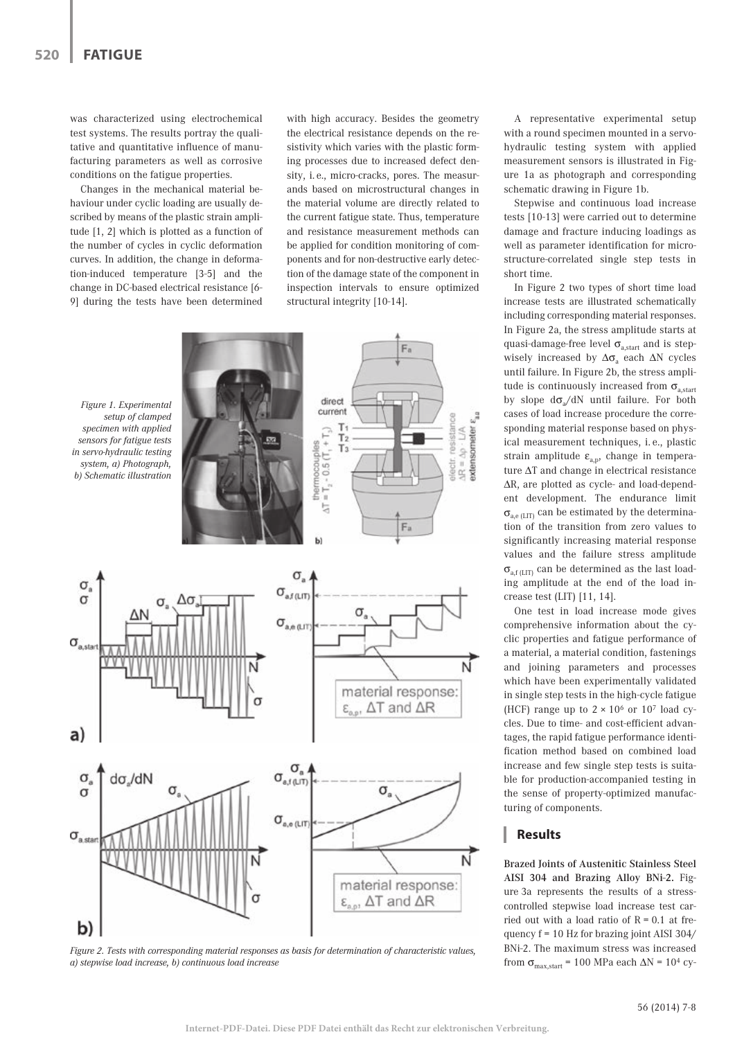was characterized using electrochemical test systems. The results portray the qualitative and quantitative influence of manufacturing parameters as well as corrosive conditions on the fatigue properties.

Changes in the mechanical material behaviour under cyclic loading are usually described by means of the plastic strain amplitude [1, 2] which is plotted as a function of the number of cycles in cyclic deformation curves. In addition, the change in deformation-induced temperature [3-5] and the change in DC-based electrical resistance [6- 9] during the tests have been determined with high accuracy. Besides the geometry the electrical resistance depends on the resistivity which varies with the plastic forming processes due to increased defect density, i. e., micro-cracks, pores. The measurands based on microstructural changes in the material volume are directly related to the current fatigue state. Thus, temperature and resistance measurement methods can be applied for condition monitoring of components and for non-destructive early detection of the damage state of the component in inspection intervals to ensure optimized structural integrity [10-14].

 $F_a$ direct *Figure 1. Experimental*  current *setup of clamped*  resistance  $\Delta R = \Delta p \cdot L/A$ <br>extensometer  $\epsilon$  $\begin{array}{c}\nT_1 \\
T_2 \\
T_3\n\end{array}$ *specimen with applied*   $T_3 - 0.5(T_1 + T_2)$ *sensors for fatigue tests*  hermocounles *in servo-hydraulic testing*  alectr. *system, a) Photograph, b) Schematic illustration*  F.  $\sigma_{\rm a}$  $\alpha$  $\sigma_{\text{after}}$  $\sigma_{\scriptscriptstyle a}$  $\sigma_{\rm a, e\, \rm gJT}$  $\sigma_{\scriptscriptstyle{\text{a,star}}}$ ᠩ material response:  $\epsilon_{\text{max}}$ ,  $\Delta T$  and  $\Delta R$  $a)$  $\sigma_{\text{a,1}}^{\sigma}$  $\sigma$  $d\sigma/dN$  $\sigma_{\rm a}$  $\sigma_{_{\rm 0,0\,(LIT)}}$  $\sigma_{\text{a,star}}$ ਨ N material response:  $\epsilon_{\text{on}}$ ,  $\Delta T$  and  $\Delta R$ b)

*Figure 2. Tests with corresponding material responses as basis for determination of characteristic values, a) stepwise load increase, b) continuous load increase* 

A representative experimental setup with a round specimen mounted in a servohydraulic testing system with applied measurement sensors is illustrated in Figure 1a as photograph and corresponding schematic drawing in Figure 1b.

Stepwise and continuous load increase tests [10-13] were carried out to determine damage and fracture inducing loadings as well as parameter identification for microstructure-correlated single step tests in short time.

In Figure 2 two types of short time load increase tests are illustrated schematically including corresponding material responses. In Figure 2a, the stress amplitude starts at quasi-damage-free level  $\sigma_{a, start}$  and is stepwisely increased by  $\Delta\sigma$ <sub>a</sub> each  $\Delta N$  cycles until failure. In Figure 2b, the stress amplitude is continuously increased from  $\sigma_{\text{a start}}$ by slope  $d\sigma_{a}/dN$  until failure. For both cases of load increase procedure the corresponding material response based on physical measurement techniques, i. e., plastic strain amplitude  $\varepsilon_{a,p}$ , change in temperature ΔT and change in electrical resistance ΔR, are plotted as cycle- and load-dependent development. The endurance limit  $\sigma_{a,e\,\text{(LIT)}}$  can be estimated by the determination of the transition from zero values to significantly increasing material response values and the failure stress amplitude  $\sigma_{\text{a,f (LIT)}}$  can be determined as the last loading amplitude at the end of the load increase test (LIT) [11, 14].

One test in load increase mode gives comprehensive information about the cyclic properties and fatigue performance of a material, a material condition, fastenings and joining parameters and processes which have been experimentally validated in single step tests in the high-cycle fatigue (HCF) range up to  $2 \times 10^6$  or  $10^7$  load cycles. Due to time- and cost-efficient advantages, the rapid fatigue performance identification method based on combined load increase and few single step tests is suitable for production-accompanied testing in the sense of property-optimized manufacturing of components.

## **Results**

Brazed Joints of Austenitic Stainless Steel AISI 304 and Brazing Alloy BNi-2. Figure 3a represents the results of a stresscontrolled stepwise load increase test carried out with a load ratio of  $R = 0.1$  at frequency f = 10 Hz for brazing joint AISI 304/ BNi-2. The maximum stress was increased from  $\sigma_{\text{max,start}}$  = 100 MPa each  $\Delta N$  = 10<sup>4</sup> cy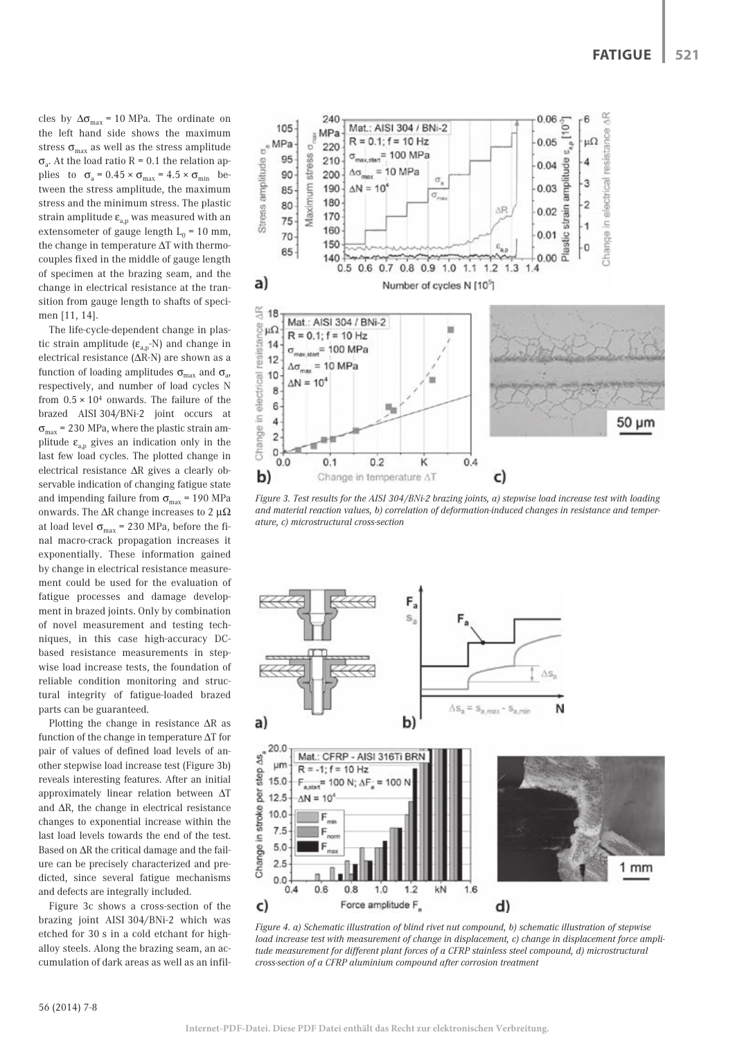cles by  $\Delta\sigma_{\text{max}}$  = 10 MPa. The ordinate on the left hand side shows the maximum stress  $\sigma_{\text{max}}$  as well as the stress amplitude  $\sigma_{\alpha}$ . At the load ratio R = 0.1 the relation applies to  $\sigma_a = 0.45 \times \sigma_{max} = 4.5 \times \sigma_{min}$  between the stress amplitude, the maximum stress and the minimum stress. The plastic strain amplitude  $\boldsymbol{\epsilon}_{\mathbf{a},\mathbf{p}}$  was measured with an extensometer of gauge length  $L_0 = 10$  mm, the change in temperature ΔT with thermocouples fixed in the middle of gauge length of specimen at the brazing seam, and the change in electrical resistance at the transition from gauge length to shafts of specimen [11, 14].

The life-cycle-dependent change in plastic strain amplitude  $(\epsilon_{a,p}N)$  and change in electrical resistance (ΔR-N) are shown as a function of loading amplitudes  $\sigma_{\text{max}}$  and  $\sigma_{\text{a}}$ , respectively, and number of load cycles N from  $0.5 \times 10^4$  onwards. The failure of the brazed AISI 304/BNi-2 joint occurs at  $\sigma_{\text{max}}$  = 230 MPa, where the plastic strain amplitude  $\varepsilon_{a,p}$  gives an indication only in the last few load cycles. The plotted change in electrical resistance ΔR gives a clearly observable indication of changing fatigue state and impending failure from  $\sigma_{\text{max}}$  = 190 MPa onwards. The  $\Delta R$  change increases to 2  $\mu\Omega$ at load level  $\sigma_{\text{max}}$  = 230 MPa, before the final macro-crack propagation increases it exponentially. These information gained by change in electrical resistance measurement could be used for the evaluation of fatigue processes and damage development in brazed joints. Only by combination of novel measurement and testing techniques, in this case high-accuracy DCbased resistance measurements in stepwise load increase tests, the foundation of reliable condition monitoring and structural integrity of fatigue-loaded brazed parts can be guaranteed.

Plotting the change in resistance  $\Delta R$  as<br>
nction of the change in temperature  $\Delta T$  for<br>
iir of values of defined load levels of an-<br>
her stepwise load increase test (Figure 3b)<br>
veals interesting features. After an ini function of the change in temperature ΔT for pair of values of defined load levels of another stepwise load increase test (Figure 3b) reveals interesting features. After an initial approximately linear relation between ΔT and ΔR, the change in electrical resistance changes to exponential increase within the last load levels towards the end of the test. Based on ΔR the critical damage and the failure can be precisely characterized and predicted, since several fatigue mechanisms and defects are integrally included.

Figure 3c shows a cross-section of the brazing joint AISI 304/BNi-2 which was etched for 30 s in a cold etchant for highalloy steels. Along the brazing seam, an accumulation of dark areas as well as an infil-



*Figure 3. Test results for the AISI 304/BNi-2 brazing joints, a) stepwise load increase test with loading and material reaction values, b) correlation of deformation-induced changes in resistance and temperature, c) microstructural cross-section* 



*Figure 4. a) Schematic illustration of blind rivet nut compound, b) schematic illustration of stepwise load increase test with measurement of change in displacement, c) change in displacement force amplitude measurement for different plant forces of a CFRP stainless steel compound, d) microstructural cross-section of a CFRP aluminium compound after corrosion treatment*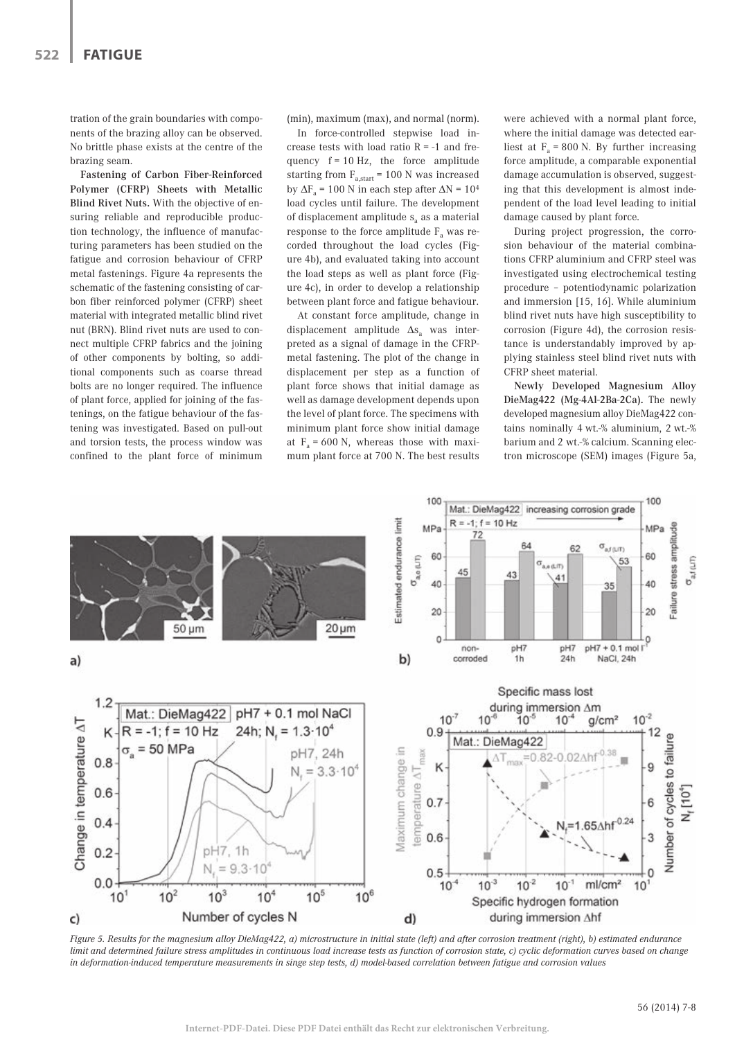tration of the grain boundaries with components of the brazing alloy can be observed. No brittle phase exists at the centre of the brazing seam.

Fastening of Carbon Fiber-Reinforced Polymer (CFRP) Sheets with Metallic Blind Rivet Nuts. With the objective of ensuring reliable and reproducible production technology, the influence of manufacturing parameters has been studied on the fatigue and corrosion behaviour of CFRP metal fastenings. Figure 4a represents the schematic of the fastening consisting of carbon fiber reinforced polymer (CFRP) sheet material with integrated metallic blind rivet nut (BRN). Blind rivet nuts are used to connect multiple CFRP fabrics and the joining of other components by bolting, so additional components such as coarse thread bolts are no longer required. The influence of plant force, applied for joining of the fastenings, on the fatigue behaviour of the fastening was investigated. Based on pull-out and torsion tests, the process window was confined to the plant force of minimum (min), maximum (max), and normal (norm).

In force-controlled stepwise load increase tests with load ratio  $R = -1$  and frequency  $f = 10$  Hz, the force amplitude starting from  $F_{a, start} = 100$  N was increased by  $\Delta F_a$  = 100 N in each step after  $\Delta N$  = 10<sup>4</sup> load cycles until failure. The development of displacement amplitude  $s_a$  as a material response to the force amplitude  $F_a$  was recorded throughout the load cycles (Figure 4b), and evaluated taking into account the load steps as well as plant force (Figure 4c), in order to develop a relationship between plant force and fatigue behaviour.

At constant force amplitude, change in displacement amplitude  $\Delta s$ <sub>a</sub> was interpreted as a signal of damage in the CFRPmetal fastening. The plot of the change in displacement per step as a function of plant force shows that initial damage as well as damage development depends upon the level of plant force. The specimens with minimum plant force show initial damage at  $F_a = 600$  N, whereas those with maximum plant force at 700 N. The best results were achieved with a normal plant force where the initial damage was detected earliest at  $F_a = 800$  N. By further increasing force amplitude, a comparable exponential damage accumulation is observed, suggesting that this development is almost independent of the load level leading to initial damage caused by plant force.

During project progression, the corrosion behaviour of the material combinations CFRP aluminium and CFRP steel was investigated using electrochemical testing procedure – potentiodynamic polarization and immersion [15, 16]. While aluminium blind rivet nuts have high susceptibility to corrosion (Figure 4d), the corrosion resistance is understandably improved by applying stainless steel blind rivet nuts with CFRP sheet material.

Newly Developed Magnesium Alloy DieMag422 (Mg-4Al-2Ba-2Ca). The newly developed magnesium alloy DieMag422 contains nominally 4 wt.-% aluminium, 2 wt.-% barium and 2 wt.-% calcium. Scanning electron microscope (SEM) images (Figure 5a,



*Figure 5. Results for the magnesium alloy DieMag422, a) microstructure in initial state (left) and after corrosion treatment (right), b) estimated endurance limit and determined failure stress amplitudes in continuous load increase tests as function of corrosion state, c) cyclic deformation curves based on change in deformation-induced temperature measurements in singe step tests, d) model-based correlation between fatigue and corrosion values*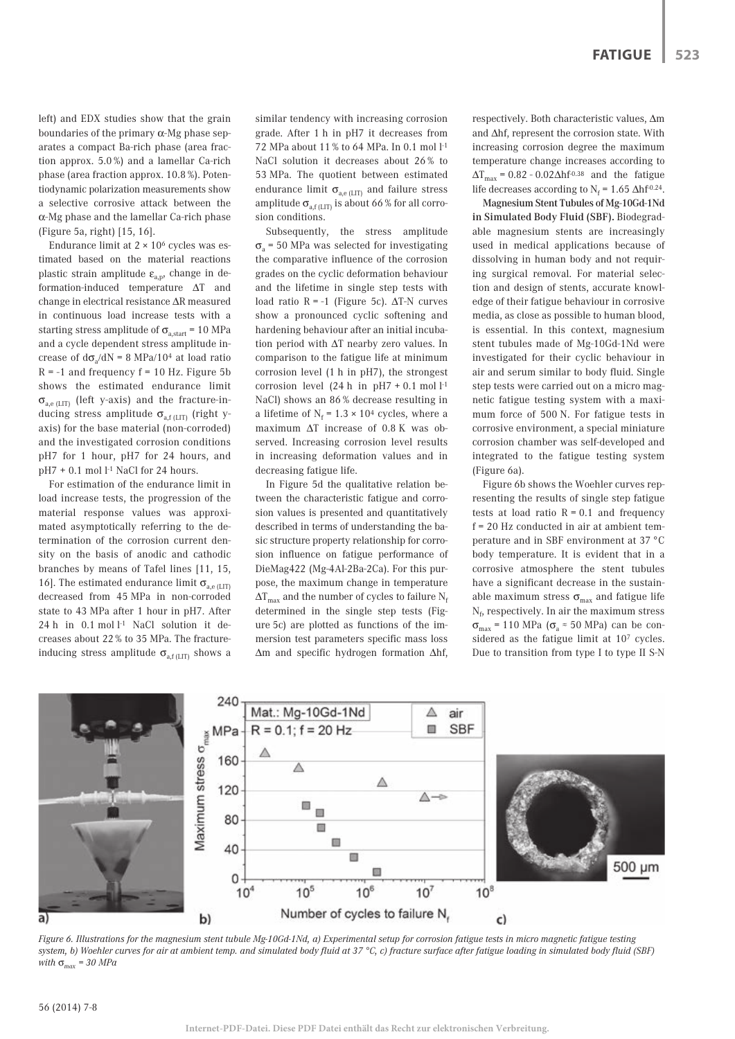left) and EDX studies show that the grain boundaries of the primary  $\alpha$ -Mg phase separates a compact Ba-rich phase (area fraction approx. 5.0 %) and a lamellar Ca-rich phase (area fraction approx. 10.8 %). Potentiodynamic polarization measurements show a selective corrosive attack between the α-Mg phase and the lamellar Ca-rich phase (Figure 5a, right) [15, 16].

Endurance limit at  $2 \times 10^6$  cycles was estimated based on the material reactions plastic strain amplitude  $\varepsilon_{a,p}$ , change in deformation-induced temperature ΔT and change in electrical resistance ΔR measured in continuous load increase tests with a starting stress amplitude of  $\sigma_{a, start}$  = 10 MPa and a cycle dependent stress amplitude increase of  $d\sigma_a/dN = 8 \text{ MPa}/10^4$  at load ratio  $R = -1$  and frequency  $f = 10$  Hz. Figure 5b shows the estimated endurance limit  $\sigma_{a,e(LIT)}$  (left y-axis) and the fracture-inducing stress amplitude  $\sigma_{\text{a-f(LT)}}$  (right yaxis) for the base material (non-corroded) and the investigated corrosion conditions pH7 for 1 hour, pH7 for 24 hours, and  $pH7 + 0.1$  mol  $l<sup>-1</sup>$  NaCl for 24 hours.

For estimation of the endurance limit in load increase tests, the progression of the material response values was approximated asymptotically referring to the determination of the corrosion current density on the basis of anodic and cathodic branches by means of Tafel lines [11, 15, 16]. The estimated endurance limit  $\sigma_{\text{a.e (LIT)}}$ decreased from 45 MPa in non-corroded state to 43 MPa after 1 hour in pH7. After 24 h in 0.1 mol l<sup>-1</sup> NaCl solution it decreases about 22 % to 35 MPa. The fractureinducing stress amplitude  $\sigma_{\text{a,f (LIT)}}$  shows a

similar tendency with increasing corrosion grade. After 1 h in pH7 it decreases from 72 MPa about 11 % to 64 MPa. In 0.1 mol l-1 NaCl solution it decreases about 26 % to 53 MPa. The quotient between estimated endurance limit  $\sigma_{a,e(LIT)}$  and failure stress amplitude  $\sigma_{\text{a.f (LIT)}}$  is about 66 % for all corrosion conditions.

Subsequently, the stress amplitude  $\sigma$ <sub>a</sub> = 50 MPa was selected for investigating the comparative influence of the corrosion grades on the cyclic deformation behaviour and the lifetime in single step tests with load ratio R = -1 (Figure 5c).  $ΔT-N$  curves show a pronounced cyclic softening and hardening behaviour after an initial incubation period with ΔT nearby zero values. In comparison to the fatigue life at minimum corrosion level (1 h in pH7), the strongest corrosion level (24 h in  $pH7 + 0.1$  mol  $l<sup>-1</sup>$ NaCl) shows an 86 % decrease resulting in a lifetime of  $N_f = 1.3 \times 10^4$  cycles, where a maximum ΔT increase of 0.8 K was observed. Increasing corrosion level results in increasing deformation values and in decreasing fatigue life.

In Figure 5d the qualitative relation between the characteristic fatigue and corrosion values is presented and quantitatively described in terms of understanding the basic structure property relationship for corrosion influence on fatigue performance of DieMag422 (Mg-4Al-2Ba-2Ca). For this purpose, the maximum change in temperature  $\Delta T_{\text{max}}$  and the number of cycles to failure N<sub>f</sub> determined in the single step tests (Figure 5c) are plotted as functions of the immersion test parameters specific mass loss Δm and specific hydrogen formation Δhf, respectively. Both characteristic values, Δm and Δhf, represent the corrosion state. With increasing corrosion degree the maximum temperature change increases according to  $\Delta T_{\text{max}}$  = 0.82 - 0.02 $\Delta h f^{0.38}$  and the fatigue life decreases according to  $N_f = 1.65 \Delta h f^{0.24}$ .

Magnesium Stent Tubules of Mg-10Gd-1Nd in Simulated Body Fluid (SBF). Biodegradable magnesium stents are increasingly used in medical applications because of dissolving in human body and not requiring surgical removal. For material selection and design of stents, accurate knowledge of their fatigue behaviour in corrosive media, as close as possible to human blood, is essential. In this context, magnesium stent tubules made of Mg-10Gd-1Nd were investigated for their cyclic behaviour in air and serum similar to body fluid. Single step tests were carried out on a micro magnetic fatigue testing system with a maximum force of 500 N. For fatigue tests in corrosive environment, a special miniature corrosion chamber was self-developed and integrated to the fatigue testing system (Figure 6a).

Figure 6b shows the Woehler curves representing the results of single step fatigue tests at load ratio  $R = 0.1$  and frequency f = 20 Hz conducted in air at ambient temperature and in SBF environment at 37 °C body temperature. It is evident that in a corrosive atmosphere the stent tubules have a significant decrease in the sustainable maximum stress  $\sigma_{\text{max}}$  and fatigue life  $\mathrm{N}_\mathrm{f}$  respectively. In air the maximum stress  $\sigma_{\text{max}}$  = 110 MPa ( $\sigma_{\text{a}}$  ≈ 50 MPa) can be considered as the fatigue limit at 107 cycles. Due to transition from type I to type II S-N



*Figure 6. Illustrations for the magnesium stent tubule Mg-10Gd-1Nd, a) Experimental setup for corrosion fatigue tests in micro magnetic fatigue testing system, b) Woehler curves for air at ambient temp. and simulated body fluid at 37 °C, c) fracture surface after fatigue loading in simulated body fluid (SBF) with* σ*max = 30 MPa*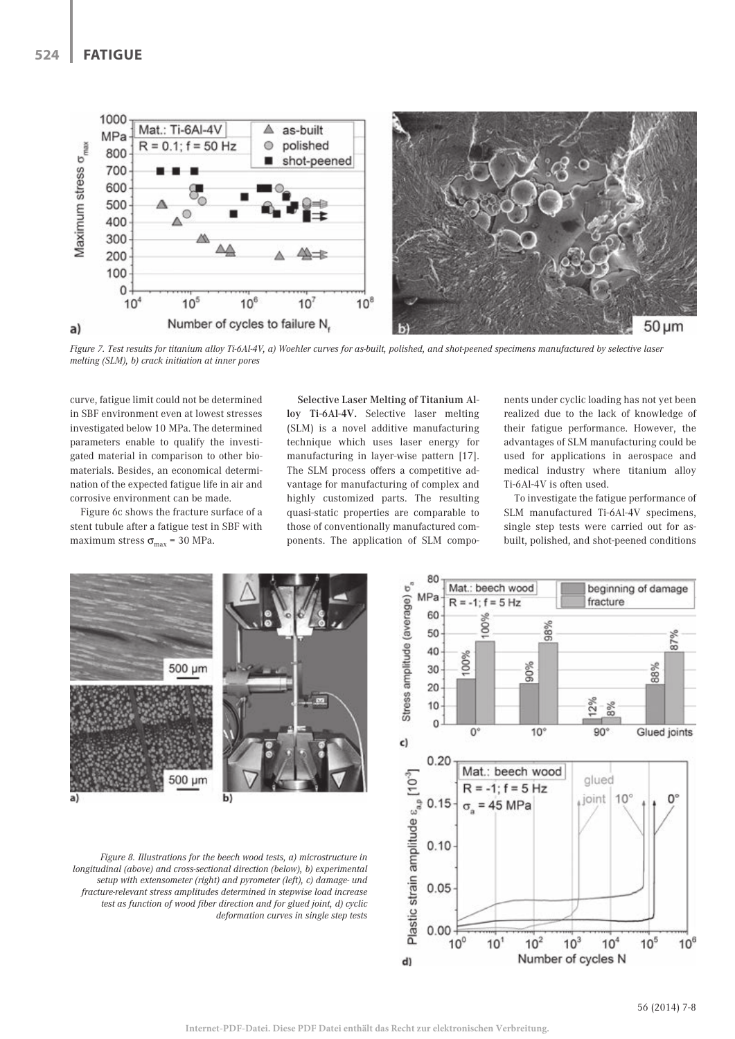

*Figure 7. Test results for titanium alloy Ti-6Al-4V, a) Woehler curves for as-built, polished, and shot-peened specimens manufactured by selective laser melting (SLM), b) crack initiation at inner pores* 

curve, fatigue limit could not be determined in SBF environment even at lowest stresses investigated below 10 MPa. The determined parameters enable to qualify the investigated material in comparison to other biomaterials. Besides, an economical determination of the expected fatigue life in air and corrosive environment can be made.

Figure 6c shows the fracture surface of a stent tubule after a fatigue test in SBF with maximum stress  $\sigma_{\text{max}}$  = 30 MPa.

Selective Laser Melting of Titanium Alloy Ti-6Al-4V. Selective laser melting (SLM) is a novel additive manufacturing technique which uses laser energy for manufacturing in layer-wise pattern [17]. The SLM process offers a competitive advantage for manufacturing of complex and highly customized parts. The resulting quasi-static properties are comparable to those of conventionally manufactured components. The application of SLM compo-

nents under cyclic loading has not yet been realized due to the lack of knowledge of their fatigue performance. However, the advantages of SLM manufacturing could be used for applications in aerospace and medical industry where titanium alloy Ti-6Al-4V is often used.

To investigate the fatigue performance of SLM manufactured Ti-6Al-4V specimens, single step tests were carried out for asbuilt, polished, and shot-peened conditions



*Figure 8. Illustrations for the beech wood tests, a) microstructure in longitudinal (above) and cross-sectional direction (below), b) experimental setup with extensometer (right) and pyrometer (left), c) damage- und fracture-relevant stress amplitudes determined in stepwise load increase test as function of wood fiber direction and for glued joint, d) cyclic deformation curves in single step tests* 

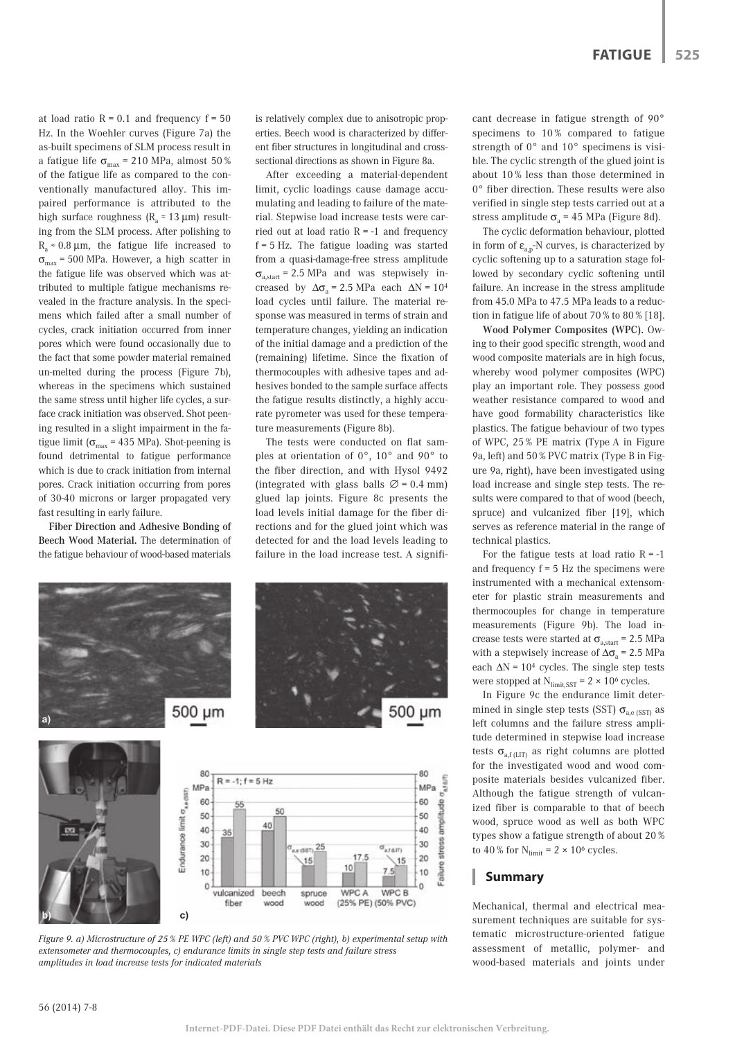at load ratio  $R = 0.1$  and frequency  $f = 50$ Hz. In the Woehler curves (Figure 7a) the as-built specimens of SLM process result in a fatigue life  $\sigma_{\text{max}}$  = 210 MPa, almost 50 % of the fatigue life as compared to the conventionally manufactured alloy. This impaired performance is attributed to the high surface roughness ( $R_a \approx 13 \mu m$ ) resulting from the SLM process. After polishing to  $R_a \approx 0.8 \mu m$ , the fatigue life increased to  $\sigma_{\text{max}}$  = 500 MPa. However, a high scatter in the fatigue life was observed which was attributed to multiple fatigue mechanisms revealed in the fracture analysis. In the specimens which failed after a small number of cycles, crack initiation occurred from inner pores which were found occasionally due to the fact that some powder material remained un-melted during the process (Figure 7b), whereas in the specimens which sustained the same stress until higher life cycles, a surface crack initiation was observed. Shot peening resulted in a slight impairment in the fatigue limit ( $\sigma_{\text{max}}$  = 435 MPa). Shot-peening is found detrimental to fatigue performance which is due to crack initiation from internal pores. Crack initiation occurring from pores of 30-40 microns or larger propagated very fast resulting in early failure.

Fiber Direction and Adhesive Bonding of Beech Wood Material. The determination of the fatigue behaviour of wood-based materials

is relatively complex due to anisotropic properties. Beech wood is characterized by different fiber structures in longitudinal and crosssectional directions as shown in Figure 8a.

After exceeding a material-dependent limit, cyclic loadings cause damage accumulating and leading to failure of the material. Stepwise load increase tests were carried out at load ratio  $R = -1$  and frequency f = 5 Hz. The fatigue loading was started from a quasi-damage-free stress amplitude  $\sigma_{\text{a start}}$  = 2.5 MPa and was stepwisely increased by  $\Delta\sigma$ <sub>a</sub> = 2.5 MPa each  $\Delta N$  = 10<sup>4</sup> load cycles until failure. The material response was measured in terms of strain and temperature changes, yielding an indication of the initial damage and a prediction of the (remaining) lifetime. Since the fixation of thermocouples with adhesive tapes and adhesives bonded to the sample surface affects the fatigue results distinctly, a highly accurate pyrometer was used for these temperature measurements (Figure 8b).

The tests were conducted on flat samples at orientation of 0°, 10° and 90° to the fiber direction, and with Hysol 9492 (integrated with glass balls  $\varnothing$  = 0.4 mm) glued lap joints. Figure 8c presents the load levels initial damage for the fiber directions and for the glued joint which was detected for and the load levels leading to failure in the load increase test. A signifi-



*extensometer and thermocouples, c) endurance limits in single step tests and failure stress amplitudes in load increase tests for indicated materials*

cant decrease in fatigue strength of 90° specimens to 10 % compared to fatigue strength of 0° and 10° specimens is visible. The cyclic strength of the glued joint is about 10 % less than those determined in 0° fiber direction. These results were also verified in single step tests carried out at a stress amplitude  $\sigma_a$  = 45 MPa (Figure 8d).

The cyclic deformation behaviour, plotted in form of  $\varepsilon_{a,p}$ -N curves, is characterized by cyclic softening up to a saturation stage followed by secondary cyclic softening until failure. An increase in the stress amplitude from 45.0 MPa to 47.5 MPa leads to a reduction in fatigue life of about 70 % to 80 % [18].

Wood Polymer Composites (WPC). Owing to their good specific strength, wood and wood composite materials are in high focus, whereby wood polymer composites (WPC) play an important role. They possess good weather resistance compared to wood and have good formability characteristics like plastics. The fatigue behaviour of two types of WPC, 25 % PE matrix (Type A in Figure 9a, left) and 50 % PVC matrix (Type B in Figure 9a, right), have been investigated using load increase and single step tests. The results were compared to that of wood (beech, spruce) and vulcanized fiber [19], which serves as reference material in the range of technical plastics.

For the fatigue tests at load ratio  $R = -1$ and frequency  $f = 5$  Hz the specimens were instrumented with a mechanical extensometer for plastic strain measurements and thermocouples for change in temperature measurements (Figure 9b). The load increase tests were started at  $\sigma_{\text{a.start}}$  = 2.5 MPa with a stepwisely increase of  $\Delta\sigma$ <sub>a</sub> = 2.5 MPa each  $\Delta N = 10^4$  cycles. The single step tests were stopped at  $N_{\text{limit, SST}}$  = 2 × 10<sup>6</sup> cycles.

In Figure 9c the endurance limit determined in single step tests (SST)  $\sigma_{\text{a-e}}$  (SST) as left columns and the failure stress amplitude determined in stepwise load increase tests  $\sigma_{\text{a,f (LIT)}}$  as right columns are plotted for the investigated wood and wood composite materials besides vulcanized fiber. Although the fatigue strength of vulcanized fiber is comparable to that of beech wood, spruce wood as well as both WPC types show a fatigue strength of about 20 % to 40 % for  $N_{\text{limit}} = 2 \times 10^6$  cycles.

# **Summary**

Mechanical, thermal and electrical measurement techniques are suitable for systematic microstructure-oriented fatigue assessment of metallic, polymer- and wood-based materials and joints under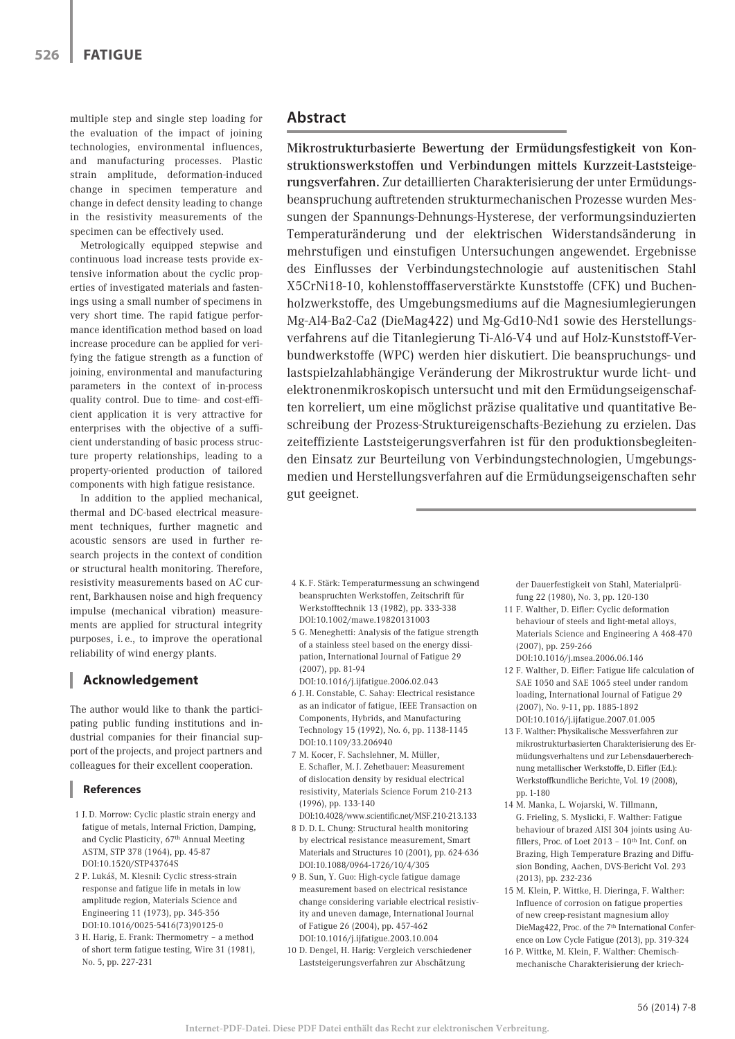multiple step and single step loading for the evaluation of the impact of joining technologies, environmental influences, and manufacturing processes. Plastic strain amplitude, deformation-induced change in specimen temperature and change in defect density leading to change in the resistivity measurements of the specimen can be effectively used.

Metrologically equipped stepwise and continuous load increase tests provide extensive information about the cyclic properties of investigated materials and fastenings using a small number of specimens in very short time. The rapid fatigue performance identification method based on load increase procedure can be applied for verifying the fatigue strength as a function of joining, environmental and manufacturing parameters in the context of in-process quality control. Due to time- and cost-efficient application it is very attractive for enterprises with the objective of a sufficient understanding of basic process structure property relationships, leading to a property-oriented production of tailored components with high fatigue resistance.

In addition to the applied mechanical, thermal and DC-based electrical measurement techniques, further magnetic and acoustic sensors are used in further research projects in the context of condition or structural health monitoring. Therefore, resistivity measurements based on AC current, Barkhausen noise and high frequency impulse (mechanical vibration) measurements are applied for structural integrity purposes, i. e., to improve the operational reliability of wind energy plants.

# **Acknowledgement**

The author would like to thank the participating public funding institutions and industrial companies for their financial support of the projects, and project partners and colleagues for their excellent cooperation.

## **References**

- 1 J. D. Morrow: Cyclic plastic strain energy and fatigue of metals, Internal Friction, Damping, and Cyclic Plasticity, 67th Annual Meeting ASTM, STP 378 (1964), pp. 45-87 DOI:10.1520/STP43764S
- 2 P. Lukáš, M. Klesnil: Cyclic stress-strain response and fatigue life in metals in low amplitude region, Materials Science and Engineering 11 (1973), pp. 345-356 DOI:10.1016/0025-5416(73)90125-0
- 3 H. Harig, E. Frank: Thermometry a method of short term fatigue testing, Wire 31 (1981), No. 5, pp. 227-231

# **Abstract**

Mikrostrukturbasierte Bewertung der Ermüdungsfestigkeit von Konstruktionswerkstoffen und Verbindungen mittels Kurzzeit-Laststeigerungsverfahren. Zur detaillierten Charakterisierung der unter Ermüdungsbeanspruchung auftretenden strukturmechanischen Prozesse wurden Messungen der Spannungs-Dehnungs-Hysterese, der verformungsinduzierten Temperaturänderung und der elektrischen Widerstandsänderung in mehrstufigen und einstufigen Untersuchungen angewendet. Ergebnisse des Einflusses der Verbindungstechnologie auf austenitischen Stahl X5CrNi18-10, kohlenstofffaserverstärkte Kunststoffe (CFK) und Buchenholzwerkstoffe, des Umgebungsmediums auf die Magnesiumlegierungen Mg-Al4-Ba2-Ca2 (DieMag422) und Mg-Gd10-Nd1 sowie des Herstellungsverfahrens auf die Titanlegierung Ti-Al6-V4 und auf Holz-Kunststoff-Verbundwerkstoffe (WPC) werden hier diskutiert. Die beanspruchungs- und lastspielzahlabhängige Veränderung der Mikrostruktur wurde licht- und elektronenmikroskopisch untersucht und mit den Ermüdungseigenschaften korreliert, um eine möglichst präzise qualitative und quantitative Beschreibung der Prozess-Struktureigenschafts-Beziehung zu erzielen. Das zeiteffiziente Laststeigerungsverfahren ist für den produktionsbegleitenden Einsatz zur Beurteilung von Verbindungstechnologien, Umgebungsmedien und Herstellungsverfahren auf die Ermüdungseigenschaften sehr gut geeignet.

- 4 K. F. Stärk: Temperaturmessung an schwingend beanspruchten Werkstoffen, Zeitschrift für Werkstofftechnik 13 (1982), pp. 333-338 DOI:10.1002/mawe.19820131003
- 5 G. Meneghetti: Analysis of the fatigue strength of a stainless steel based on the energy dissipation, International Journal of Fatigue 29 (2007), pp. 81-94 DOI:10.1016/j.ijfatigue.2006.02.043
- 6 J. H. Constable, C. Sahay: Electrical resistance as an indicator of fatigue, IEEE Transaction on Components, Hybrids, and Manufacturing Technology 15 (1992), No. 6, pp. 1138-1145 DOI:10.1109/33.206940
- 7 M. Kocer, F. Sachslehner, M. Müller, E. Schafler, M. J. Zehetbauer: Measurement of dislocation density by residual electrical resistivity, Materials Science Forum 210-213 (1996), pp. 133-140
- DOI:10.4028/www.scientific.net/MSF.210-213.133 8 D. D. L. Chung: Structural health monitoring by electrical resistance measurement, Smart Materials and Structures 10 (2001), pp. 624-636 DOI:10.1088/0964-1726/10/4/305
- 9 B. Sun, Y. Guo: High-cycle fatigue damage measurement based on electrical resistance change considering variable electrical resistivity and uneven damage, International Journal of Fatigue 26 (2004), pp. 457-462 DOI:10.1016/j.ijfatigue.2003.10.004
- 10 D. Dengel, H. Harig: Vergleich verschiedener Laststeigerungsverfahren zur Abschätzung

der Dauerfestigkeit von Stahl, Materialprüfung 22 (1980), No. 3, pp. 120-130

- 11 F. Walther, D. Eifler: Cyclic deformation behaviour of steels and light-metal alloys, Materials Science and Engineering A 468-470 (2007), pp. 259-266 DOI:10.1016/j.msea.2006.06.146
- 12 F. Walther, D. Eifler: Fatigue life calculation of SAE 1050 and SAE 1065 steel under random loading, International Journal of Fatigue 29 (2007), No. 9-11, pp. 1885-1892 DOI:10.1016/j.ijfatigue.2007.01.005
- 13 F. Walther: Physikalische Messverfahren zur mikrostrukturbasierten Charakterisierung des Ermüdungsverhaltens und zur Lebensdauerberechnung metallischer Werkstoffe, D. Eifler (Ed.): Werkstoffkundliche Berichte, Vol. 19 (2008), pp. 1-180
- 14 M. Manka, L. Wojarski, W. Tillmann, G. Frieling, S. Myslicki, F. Walther: Fatigue behaviour of brazed AISI 304 joints using Aufillers, Proc. of Loet 2013 - 10th Int. Conf. on Brazing, High Temperature Brazing and Diffusion Bonding, Aachen, DVS-Bericht Vol. 293 (2013), pp. 232-236
- 15 M. Klein, P. Wittke, H. Dieringa, F. Walther: Influence of corrosion on fatigue properties of new creep-resistant magnesium alloy DieMag422, Proc. of the 7th International Conference on Low Cycle Fatigue (2013), pp. 319-324
- 16 P. Wittke, M. Klein, F. Walther: Chemischmechanische Charakterisierung der kriech-